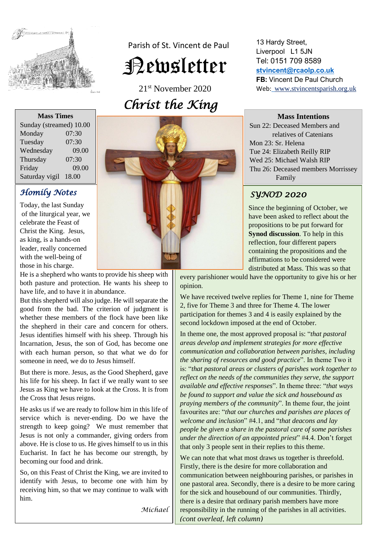

 Parish of St. Vincent de Paul Newsletter

21st November 2020 *Christ the King* 

13 Hardy Street, Liverpool L1 5JN Tel: 0151 709 8589 **[stvincent@rcaolp.co.uk](mailto:stvincent@rcaolp.co.uk) FB:** Vincent De Paul Church Web: www.stvincentsparish.org.uk

#### **Mass Intentions**

Sun 22: Deceased Members and relatives of Catenians Mon 23: Sr. Helena Tue 24: Elizabeth Reilly RIP Wed 25: Michael Walsh RIP Thu 26: Deceased members Morrissey Family

# *SYNOD 2020*

Since the beginning of October, we have been asked to reflect about the propositions to be put forward for **Synod discussion**. To help in this reflection, four different papers containing the propositions and the affirmations to be considered were distributed at Mass. This was so that

every parishioner would have the opportunity to give his or her opinion.

We have received twelve replies for Theme 1, nine for Theme 2, five for Theme 3 and three for Theme 4. The lower participation for themes 3 and 4 is easily explained by the second lockdown imposed at the end of October.

In theme one, the most approved proposal is: "*that pastoral areas develop and implement strategies for more effective communication and collaboration between parishes, including the sharing of resources and good practice*". In theme Two it is: "*that pastoral areas or clusters of parishes work together to reflect on the needs of the communities they serve, the support available and effective responses*". In theme three: "*that ways be found to support and value the sick and housebound as praying members of the community*". In theme four, the joint favourites are: "*that our churches and parishes are places of welcome and inclusion*" #4.1, and "*that deacons and lay people be given a share in the pastoral care of some parishes under the direction of an appointed priest*" #4.4. Don't forget that only 3 people sent in their replies to this theme.

We can note that what most draws us together is threefold. Firstly, there is the desire for more collaboration and communication between neighbouring parishes, or parishes in one pastoral area. Secondly, there is a desire to be more caring for the sick and housebound of our communities. Thirdly, there is a desire that ordinary parish members have more responsibility in the running of the parishes in all activities. *(cont overleaf, left column)*

**Mass Times** Sunday (streamed) 10.00 Monday 07:30 Tuesday 07:30 Wednesday 09.00 Thursday 07:30 Friday 09.00 Saturday vigil 18.00

# *Homily Notes*

Today, the last Sunday of the liturgical year, we celebrate the Feast of Christ the King. Jesus, as king, is a hands-on leader, really concerned with the well-being of those in his charge.

He is a shepherd who wants to provide his sheep with both pasture and protection. He wants his sheep to have life, and to have it in abundance.

But this shepherd will also judge. He will separate the good from the bad. The criterion of judgment is whether these members of the flock have been like the shepherd in their care and concern for others. Jesus identifies himself with his sheep. Through his Incarnation, Jesus, the son of God, has become one with each human person, so that what we do for someone in need, we do to Jesus himself.

But there is more. Jesus, as the Good Shepherd, gave his life for his sheep. In fact if we really want to see Jesus as King we have to look at the Cross. It is from the Cross that Jesus reigns.

He asks us if we are ready to follow him in this life of service which is never-ending. Do we have the strength to keep going? We must remember that Jesus is not only a commander, giving orders from above. He is close to us. He gives himself to us in this Eucharist. In fact he has become our strength, by becoming our food and drink.

So, on this Feast of Christ the King, we are invited to identify with Jesus, to become one with him by receiving him, so that we may continue to walk with him.

*Michael*